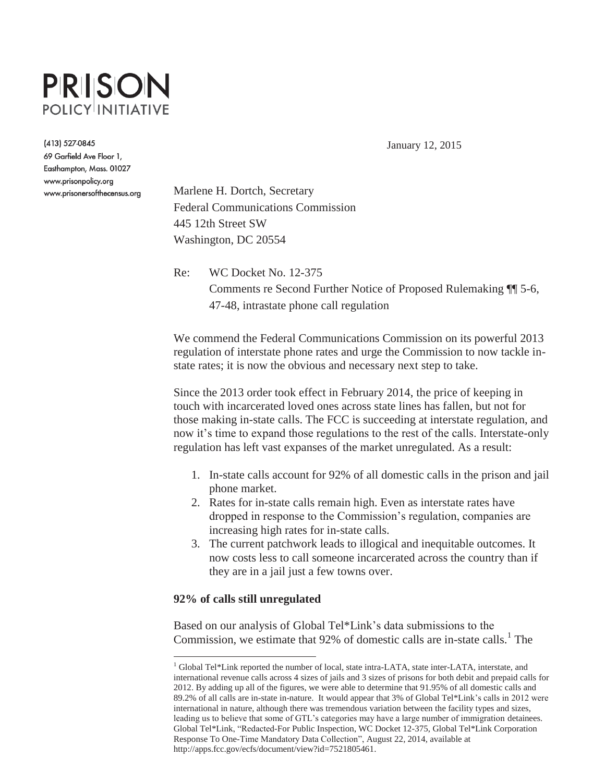# PRISON **POLICY INITIATIVE**

(413) 527-0845 69 Garfield Ave Floor 1, Easthampton, Mass. 01027 www.prisonpolicy.org www.prisonersofthecensus.org

January 12, 2015

Marlene H. Dortch, Secretary Federal Communications Commission 445 12th Street SW Washington, DC 20554

Re: WC Docket No. 12-375 Comments re Second Further Notice of Proposed Rulemaking ¶¶ 5-6, 47-48, intrastate phone call regulation

We commend the Federal Communications Commission on its powerful 2013 regulation of interstate phone rates and urge the Commission to now tackle instate rates; it is now the obvious and necessary next step to take.

Since the 2013 order took effect in February 2014, the price of keeping in touch with incarcerated loved ones across state lines has fallen, but not for those making in-state calls. The FCC is succeeding at interstate regulation, and now it's time to expand those regulations to the rest of the calls. Interstate-only regulation has left vast expanses of the market unregulated. As a result:

- 1. In-state calls account for 92% of all domestic calls in the prison and jail phone market.
- 2. Rates for in-state calls remain high. Even as interstate rates have dropped in response to the Commission's regulation, companies are increasing high rates for in-state calls.
- 3. The current patchwork leads to illogical and inequitable outcomes. It now costs less to call someone incarcerated across the country than if they are in a jail just a few towns over.

#### **92% of calls still unregulated**

 $\overline{a}$ 

Based on our analysis of Global Tel\*Link's data submissions to the Commission, we estimate that  $92\%$  of domestic calls are in-state calls.<sup>1</sup> The

<sup>&</sup>lt;sup>1</sup> Global Tel\*Link reported the number of local, state intra-LATA, state inter-LATA, interstate, and international revenue calls across 4 sizes of jails and 3 sizes of prisons for both debit and prepaid calls for 2012. By adding up all of the figures, we were able to determine that 91.95% of all domestic calls and 89.2% of all calls are in-state in-nature. It would appear that 3% of Global Tel\*Link's calls in 2012 were international in nature, although there was tremendous variation between the facility types and sizes, leading us to believe that some of GTL's categories may have a large number of immigration detainees. Global Tel\*Link, "Redacted-For Public Inspection, WC Docket 12-375, Global Tel\*Link Corporation Response To One-Time Mandatory Data Collection", August 22, 2014, available at http://apps.fcc.gov/ecfs/document/view?id=7521805461.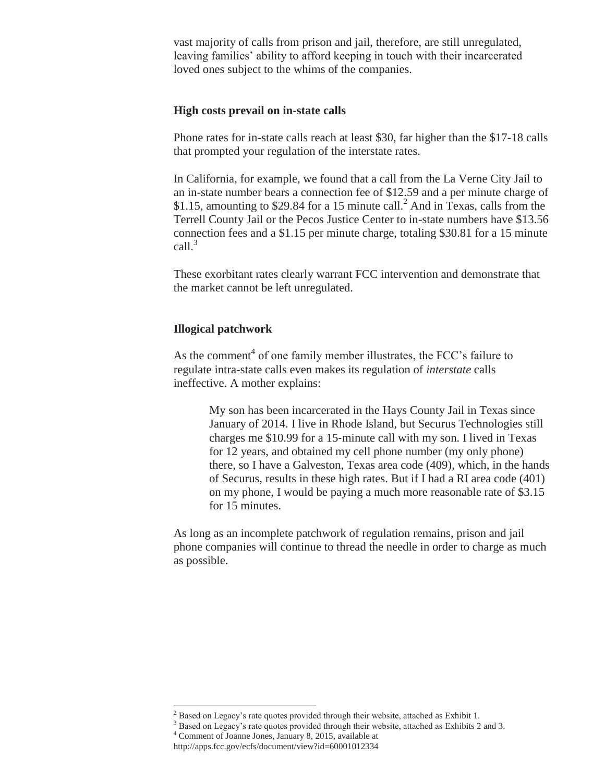vast majority of calls from prison and jail, therefore, are still unregulated, leaving families' ability to afford keeping in touch with their incarcerated loved ones subject to the whims of the companies.

### **High costs prevail on in-state calls**

Phone rates for in-state calls reach at least \$30, far higher than the \$17-18 calls that prompted your regulation of the interstate rates.

In California, for example, we found that a call from the La Verne City Jail to an in-state number bears a connection fee of \$12.59 and a per minute charge of \$1.15, amounting to \$29.84 for a 15 minute call.<sup>2</sup> And in Texas, calls from the Terrell County Jail or the Pecos Justice Center to in-state numbers have \$13.56 connection fees and a \$1.15 per minute charge, totaling \$30.81 for a 15 minute call. $3$ 

These exorbitant rates clearly warrant FCC intervention and demonstrate that the market cannot be left unregulated.

### **Illogical patchwork**

As the comment<sup>4</sup> of one family member illustrates, the FCC's failure to regulate intra-state calls even makes its regulation of *interstate* calls ineffective. A mother explains:

> My son has been incarcerated in the Hays County Jail in Texas since January of 2014. I live in Rhode Island, but Securus Technologies still charges me \$10.99 for a 15-minute call with my son. I lived in Texas for 12 years, and obtained my cell phone number (my only phone) there, so I have a Galveston, Texas area code (409), which, in the hands of Securus, results in these high rates. But if I had a RI area code (401) on my phone, I would be paying a much more reasonable rate of \$3.15 for 15 minutes.

As long as an incomplete patchwork of regulation remains, prison and jail phone companies will continue to thread the needle in order to charge as much as possible.

 $\overline{a}$ 

<sup>&</sup>lt;sup>2</sup> Based on Legacy's rate quotes provided through their website, attached as Exhibit 1.  $\frac{3}{4}$  Based on Legacy's rate quotes provided through their website, attached as Exhibits 2 and 3.

Comment of Joanne Jones, January 8, 2015, available at

http://apps.fcc.gov/ecfs/document/view?id=60001012334